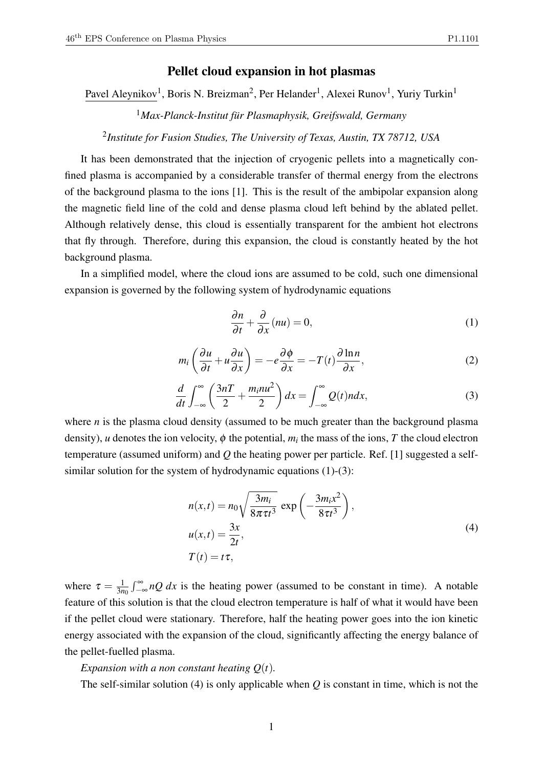# Pellet cloud expansion in hot plasmas

Pavel Aleynikov<sup>1</sup>, Boris N. Breizman<sup>2</sup>, Per Helander<sup>1</sup>, Alexei Runov<sup>1</sup>, Yuriy Turkin<sup>1</sup>

<sup>1</sup>*Max-Planck-Institut fur Plasmaphysik, Greifswald, Germany ¨*

2 *Institute for Fusion Studies, The University of Texas, Austin, TX 78712, USA*

It has been demonstrated that the injection of cryogenic pellets into a magnetically confined plasma is accompanied by a considerable transfer of thermal energy from the electrons of the background plasma to the ions [1]. This is the result of the ambipolar expansion along the magnetic field line of the cold and dense plasma cloud left behind by the ablated pellet. Although relatively dense, this cloud is essentially transparent for the ambient hot electrons that fly through. Therefore, during this expansion, the cloud is constantly heated by the hot background plasma.

In a simplified model, where the cloud ions are assumed to be cold, such one dimensional expansion is governed by the following system of hydrodynamic equations

$$
\frac{\partial n}{\partial t} + \frac{\partial}{\partial x}(nu) = 0,\tag{1}
$$

$$
m_i \left( \frac{\partial u}{\partial t} + u \frac{\partial u}{\partial x} \right) = -e \frac{\partial \phi}{\partial x} = -T(t) \frac{\partial \ln n}{\partial x},
$$
 (2)

$$
\frac{d}{dt}\int_{-\infty}^{\infty} \left(\frac{3n}{2} + \frac{m_i n u^2}{2}\right) dx = \int_{-\infty}^{\infty} Q(t) n dx,
$$
\n(3)

where *n* is the plasma cloud density (assumed to be much greater than the background plasma density), *u* denotes the ion velocity,  $\phi$  the potential,  $m_i$  the mass of the ions, *T* the cloud electron temperature (assumed uniform) and *Q* the heating power per particle. Ref. [1] suggested a selfsimilar solution for the system of hydrodynamic equations (1)-(3):

$$
n(x,t) = n_0 \sqrt{\frac{3m_i}{8\pi \tau t^3}} \exp\left(-\frac{3m_i x^2}{8\tau t^3}\right),
$$
  
\n
$$
u(x,t) = \frac{3x}{2t},
$$
  
\n
$$
T(t) = t\tau,
$$
\n(4)

where  $\tau = \frac{1}{3n}$  $\frac{1}{3n_0} \int_{-\infty}^{\infty} nQ \, dx$  is the heating power (assumed to be constant in time). A notable feature of this solution is that the cloud electron temperature is half of what it would have been if the pellet cloud were stationary. Therefore, half the heating power goes into the ion kinetic energy associated with the expansion of the cloud, significantly affecting the energy balance of the pellet-fuelled plasma.

#### *Expansion with a non constant heating Q*(*t*)*.*

The self-similar solution (4) is only applicable when *Q* is constant in time, which is not the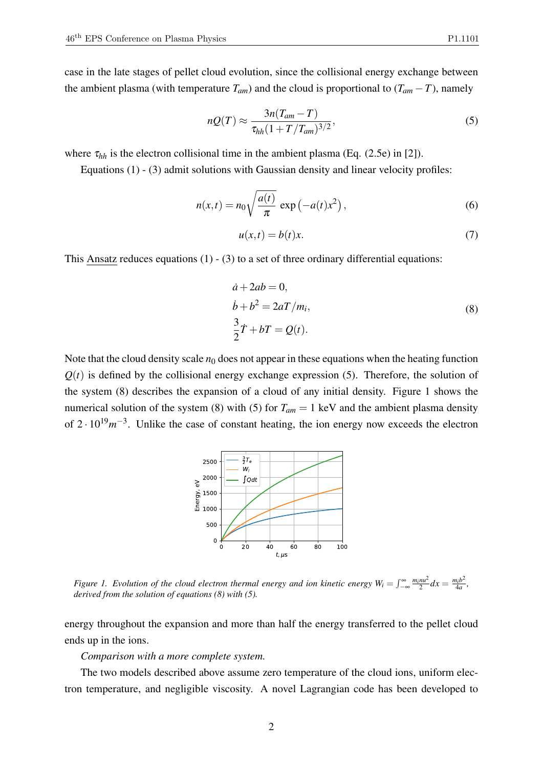case in the late stages of pellet cloud evolution, since the collisional energy exchange between the ambient plasma (with temperature  $T_{am}$ ) and the cloud is proportional to  $(T_{am} - T)$ , namely

$$
nQ(T) \approx \frac{3n(T_{am} - T)}{\tau_{hh} (1 + T/T_{am})^{3/2}},\tag{5}
$$

where  $\tau_{hh}$  is the electron collisional time in the ambient plasma (Eq. (2.5e) in [2]).

Equations (1) - (3) admit solutions with Gaussian density and linear velocity profiles:

$$
n(x,t) = n_0 \sqrt{\frac{a(t)}{\pi}} \exp\left(-a(t)x^2\right),\tag{6}
$$

$$
u(x,t) = b(t)x.
$$
 (7)

This Ansatz reduces equations  $(1)$  -  $(3)$  to a set of three ordinary differential equations:

$$
\dot{a} + 2ab = 0,
$$
  
\n
$$
\dot{b} + b^2 = 2aT/m_i,
$$
  
\n
$$
\frac{3}{2}\dot{T} + bT = Q(t).
$$
\n(8)

Note that the cloud density scale  $n_0$  does not appear in these equations when the heating function  $Q(t)$  is defined by the collisional energy exchange expression (5). Therefore, the solution of the system (8) describes the expansion of a cloud of any initial density. Figure 1 shows the numerical solution of the system (8) with (5) for  $T_{am} = 1 \text{ keV}$  and the ambient plasma density of  $2 \cdot 10^{19} m^{-3}$ . Unlike the case of constant heating, the ion energy now exceeds the electron



*Figure 1. Evolution of the cloud electron thermal energy and ion kinetic energy*  $W_i = \int_{-\infty}^{\infty} \frac{m_i n u^2}{2} dx = \frac{m_i b^2}{4a}$  $\frac{n_i b^2}{4a}$ , *derived from the solution of equations (8) with (5).*

energy throughout the expansion and more than half the energy transferred to the pellet cloud ends up in the ions.

## *Comparison with a more complete system.*

The two models described above assume zero temperature of the cloud ions, uniform electron temperature, and negligible viscosity. A novel Lagrangian code has been developed to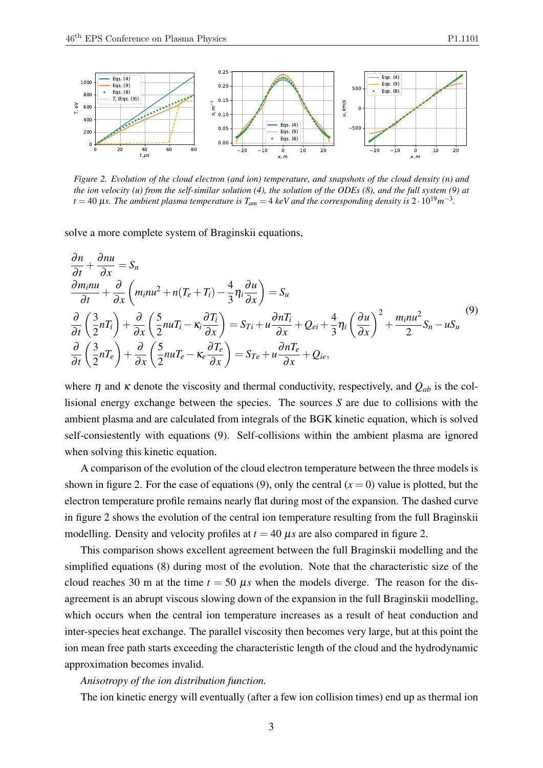

*Figure 2. Evolution of the cloud electron (and ion) temperature, and snapshots of the cloud density (n) and the ion velocity (u) from the self-similar solution (4), the solution of the ODEs (8), and the full system (9) at*  $t = 40$  µs. The ambient plasma temperature is  $T_{am} = 4$  keV and the corresponding density is  $2 \cdot 10^{19} m^{-3}$ .

solve a more complete system of Braginskii equations,

$$
\frac{\partial n}{\partial t} + \frac{\partial n u}{\partial x} = S_n
$$
\n
$$
\frac{\partial m_i n u}{\partial t} + \frac{\partial}{\partial x} \left( m_i n u^2 + n (T_e + T_i) - \frac{4}{3} \eta_i \frac{\partial u}{\partial x} \right) = S_u
$$
\n
$$
\frac{\partial}{\partial t} \left( \frac{3}{2} n T_i \right) + \frac{\partial}{\partial x} \left( \frac{5}{2} n u T_i - \kappa_i \frac{\partial T_i}{\partial x} \right) = S_{Ti} + u \frac{\partial n T_i}{\partial x} + Q_{ei} + \frac{4}{3} \eta_i \left( \frac{\partial u}{\partial x} \right)^2 + \frac{m_i n u^2}{2} S_n - u S_u
$$
\n
$$
\frac{\partial}{\partial t} \left( \frac{3}{2} n T_e \right) + \frac{\partial}{\partial x} \left( \frac{5}{2} n u T_e - \kappa_e \frac{\partial T_e}{\partial x} \right) = S_{Te} + u \frac{\partial n T_e}{\partial x} + Q_{ie},
$$
\n(9)

where  $\eta$  and  $\kappa$  denote the viscosity and thermal conductivity, respectively, and  $Q_{ab}$  is the collisional energy exchange between the species. The sources *S* are due to collisions with the ambient plasma and are calculated from integrals of the BGK kinetic equation, which is solved self-consiestently with equations (9). Self-collisions within the ambient plasma are ignored when solving this kinetic equation.

A comparison of the evolution of the cloud electron temperature between the three models is shown in figure 2. For the case of equations (9), only the central  $(x = 0)$  value is plotted, but the electron temperature profile remains nearly flat during most of the expansion. The dashed curve in figure 2 shows the evolution of the central ion temperature resulting from the full Braginskii modelling. Density and velocity profiles at  $t = 40 \mu s$  are also compared in figure 2.

This comparison shows excellent agreement between the full Braginskii modelling and the simplified equations (8) during most of the evolution. Note that the characteristic size of the cloud reaches 30 m at the time  $t = 50 \mu s$  when the models diverge. The reason for the disagreement is an abrupt viscous slowing down of the expansion in the full Braginskii modelling, which occurs when the central ion temperature increases as a result of heat conduction and inter-species heat exchange. The parallel viscosity then becomes very large, but at this point the ion mean free path starts exceeding the characteristic length of the cloud and the hydrodynamic approximation becomes invalid.

### *Anisotropy of the ion distribution function.*

The ion kinetic energy will eventually (after a few ion collision times) end up as thermal ion